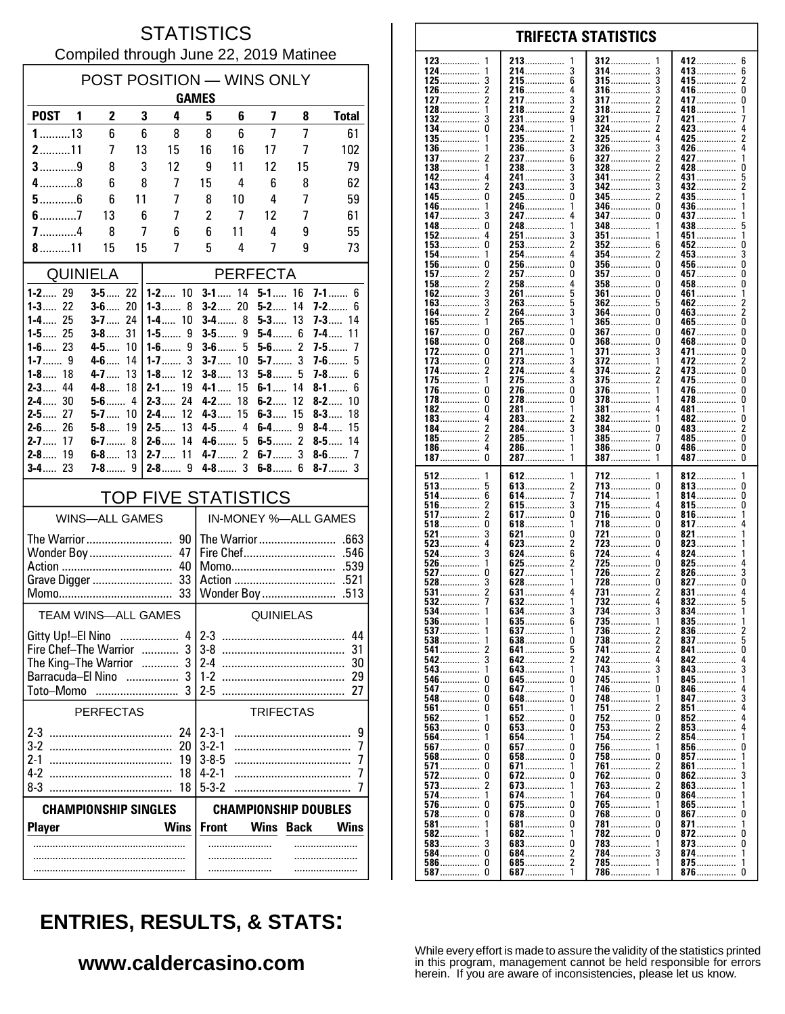#### **STATISTICS** Compiled through June 22, 2019 Matinee

| POST POSITION - WINS ONLY<br><b>GAMES</b> |                                |          |                                |                             |                   |                  |                |                            |  |  |
|-------------------------------------------|--------------------------------|----------|--------------------------------|-----------------------------|-------------------|------------------|----------------|----------------------------|--|--|
| <b>POST</b>                               | $\mathbf{2}$<br>$\blacksquare$ | 3        | 4                              | 5                           | 6                 | 7                | 8              | <b>Total</b>               |  |  |
| $1$ 13                                    | 6                              | 6        | 8                              | 8                           | 6                 | 7                | 7              | 61                         |  |  |
| $2$ 11                                    | 7                              | 13       | 15                             | 16                          | 16                | 17               | 7              | 102                        |  |  |
| $3$ 9                                     | 8                              | 3        | 12                             | 9                           | 11                | 12               | 15             | 79                         |  |  |
| $4$ 8                                     | 6                              | 8        | 7                              | 15                          | 4                 | 6                | 8              | 62                         |  |  |
| $5$ 6<br>$6$ 7                            | 6<br>13                        | 11<br>6  | 7<br>7                         | 8<br>$\overline{c}$         | 10<br>7           | 4<br>12          | 7<br>7         | 59<br>61                   |  |  |
|                                           | 8                              | 7        | 6                              | 6                           | 11                | 4                | 9              | 55                         |  |  |
| 8 11                                      | 15                             | 15       | 7                              | 5                           | 4                 | 7                | 9              | 73                         |  |  |
| <b>QUINIELA</b>                           |                                |          |                                | <b>PERFECTA</b>             |                   |                  |                |                            |  |  |
| $1 - 2$ 29                                | $3 - 5$ 22                     |          | $1 - 2$ 10                     | $3-1$                       | 14                | $5-1$            | 16             | $7 - 1$ 6                  |  |  |
| $1 - 3$ 22                                | $3 - 6$ 20                     |          | $1 - 3$ 8                      |                             | $3 - 2$ 20        | $5-2$            | 14             | $7-2$<br>6                 |  |  |
| $1 - 4$ 25<br>$1 - 5$ 25                  | $3 - 7$ 24<br>$3 - 8$ 31       |          | $1 - 4$ 10                     | $3-5$                       | <b>3-4</b> 8<br>9 | $5-3$<br>5-4 6   | 13             | $7 - 3$ 14<br>7-4<br>11    |  |  |
| $1 - 6$ 23                                | 4-5                            | 10       | 9<br>$1-6$                     |                             | $3 - 6$ 5         | $5-6$            | $\overline{c}$ | $7 - 5$<br>7               |  |  |
| $1 - 8$ 18                                | $4-6$<br>$4 - 7$               | 14<br>13 | 3<br>1-7 $\dots$<br>$1 - 8$ 12 | $3-7$<br>$3 - 8$            | 10<br>13          | $5-7$<br>$5-8$   | 3<br>5         | $7-6$<br>5<br>$7 - 8$<br>6 |  |  |
| $2 - 3$<br>44                             | 4-8                            | 18       | $2 - 1$<br>19                  | $4 - 1$                     | 15                | $6 - 1$ 14       |                | $8-1$<br>6                 |  |  |
| 30<br>$2 - 4$                             | $5-6$                          | 4        | 24<br>$2 - 3$                  | $4 - 2$                     | 18                | $6 - 2$          | 12             | $8-2$<br>10                |  |  |
| $2-5$<br>27<br>$2-6$<br>26                | $5 - 7$ 10<br>$5 - 8$ 19       |          | $2-4$<br>12<br>13<br>$2-5$     | $4 - 3$                     | 15<br>4-5 4       | 6-3<br>6-4……     | 15<br>9        | $8-3$<br>18<br>$8-4$<br>15 |  |  |
| $2 - 7$<br>17                             | 6-7 8                          |          | $2 - 6$<br>14                  | $4-6$                       | 5                 | 6-5……            | 2              | $8-5$<br>14                |  |  |
| 19<br>$2 - 8$                             | $6 - 8$ 13                     |          | 11<br>$2 - 7$                  | $4 - 7$                     | $\overline{c}$    | $6-7$            | 3              |                            |  |  |
| $3 - 4$ 23                                | $7 - 8$ 9                      |          |                                |                             | $4 - 8$ 3         | $6 - 8$ 6        |                | $8 - 7$<br>3               |  |  |
|                                           |                                |          | <b>TOP FIVE STATISTICS</b>     |                             |                   |                  |                |                            |  |  |
|                                           | <b>WINS-ALL GAMES</b>          |          |                                | IN-MONEY %-ALL GAMES        |                   |                  |                |                            |  |  |
|                                           |                                |          |                                |                             |                   |                  |                |                            |  |  |
|                                           | Wonder Boy                     |          | 47<br>40                       | .546                        |                   |                  |                |                            |  |  |
|                                           |                                |          |                                | Action<br>.521              |                   |                  |                |                            |  |  |
|                                           |                                |          |                                |                             |                   |                  | Wonder Boy     | .513                       |  |  |
| <b>TEAM WINS-ALL GAMES</b>                |                                |          |                                | <b>QUINIELAS</b>            |                   |                  |                |                            |  |  |
| Gitty Up!-El Nino                         |                                |          | 4                              | $2 - 3$                     |                   |                  |                | 44                         |  |  |
| The King-The Warrior  3                   | Fire Chef-The Warrior  3       |          |                                | $3-8$                       |                   |                  |                | 31                         |  |  |
| Barracuda-El Nino                         |                                |          |                                | $1 - 2$                     |                   |                  |                | 29                         |  |  |
| Toto-Momo                                 |                                |          |                                | $2 - 5$                     |                   |                  |                | 27                         |  |  |
|                                           | <b>PERFECTAS</b>               |          |                                |                             |                   | <b>TRIFECTAS</b> |                |                            |  |  |
|                                           |                                |          | 24                             | $2 - 3 - 1$                 |                   |                  |                | 9                          |  |  |
|                                           |                                |          | 20                             | $3 - 2 - 1$                 |                   |                  |                | 7                          |  |  |
| 4-2                                       |                                |          | 19<br>18                       | $3 - 8 - 5$<br>$4 - 2 - 1$  |                   |                  |                | 7<br>7                     |  |  |
|                                           |                                |          | 18                             | $5 - 3 - 2$                 |                   |                  |                | 7                          |  |  |
| <b>CHAMPIONSHIP SINGLES</b>               |                                |          |                                | <b>CHAMPIONSHIP DOUBLES</b> |                   |                  |                |                            |  |  |
| <b>Player</b>                             |                                |          | <b>Wins</b>                    | <b>Front</b>                |                   | <b>Wins</b>      | <b>Back</b>    | <b>Wins</b>                |  |  |
|                                           |                                |          |                                |                             | .                 |                  |                |                            |  |  |
|                                           |                                |          |                                |                             |                   |                  | .              |                            |  |  |
|                                           |                                |          |                                |                             |                   |                  |                |                            |  |  |

#### 123 213 412 6 312 124 214.  $\mathbf{3}$ 314 413  $\boldsymbol{6}$ -3 ............... . . . . . . . . . . . . . . . . . . . . . . . . . . . . . 3 215. 6 3  $\frac{2}{0}$ 125 315 415................ . . . . . . . . . . ............... . . . . . . . . . . . . . . . . 126  $\overline{2}$ 216 4 316 3 416 .............. . . . . . . . . . . . . . . . . . . . . . . . . . . . . . . . 127  $\overline{2}$ 217 3 317 2 417 0 . . . . . . . . . . . . . . . . . . . . . . . . . . . . . . . . . . . . . 128 218  $\overline{\phantom{a}}$ 318 2 418 1  $\overline{g}$ 132 3 231................ 321.................  $421...$ 134  $\pmb{0}$ 234. 324 2 423 . . . . . . . . . . . . . . . 135 235. 325 425 . . . . . . . . . . . . . . . 136 236 3 326 3 426 . . . . . . . . . . . . . . . . . . . . . . . . . . . . . . . . . . . . . . . . . . . . . . 137 2 237 6 327 2 427 138 238 3 328 2 428  $\Omega$ 1 . . . . . . . . . 142 241................  $\overline{\mathbf{3}}$ 5 341 5 431  $143.$  $\dot{2}$  $\overline{3}$  $342$ 3  $432...$ . . . . . . . . . . . . . . Ō  $\mathbf{0}$ 245 345 435 145 2 346 436 146 246 . . . . . . . . . . . . . . . . . . . . . . . . . . . . . . . . . . . . . . . . . . 147  $\mathbf{3}$ 247 4 347  $\Omega$ 437 . . . . . . . . . . . . . . . . . . . . . . . . . . . . . . . . . . . . . . . . . . 148 248 348 438 0 5 . . . . . . . . . . . . . . . .............. . . . . . . 152 4 251 3 351 451 1 . . . . . . . . . . . . . . . . . . . . . . . . 153  $\Omega$ 253  $\mathcal{P}$ 352 ĥ 452  $\Omega$ 3 154 254  $453...$  $\mathbf{1}$ 354 Ö 156.  $\theta$  $\mathbf{0}$  $\Omega$ 256 356  $456...$ 157 257.  $\Omega$ 357 457  $\mathbf{0}$  $\overline{c}$ . . . . . . . . . . . . . . . . . . . . . . . . . . . . 458...............  $\overline{c}$  $\pmb{0}$ 158 258 4 358  $\Omega$ . . . . . . . . . . . . . . . .............. . . . . . . . . . . . . . . . . 162 3 261 5 361  $\Omega$ 461  $\overline{1}$ . . . . . . . . . . . . . . . . . . . . . . . . . . . . . 163  $\mathbf{3}$ 263 5 362 5 462  $\frac{2}{2}$ . . . . . . . . . . . . . . . . . . . . . . . . .  $\frac{6}{2}$ Ō 164 264  $\overline{\mathbf{3}}$ 364 463. 265............... ō 165................  $365$ .................. ñ  $465$ 1 1  $\tilde{0}$  $\mathbf 0$  $\pmb{0}$  $\overline{0}$ 267. 367  $467...$ 167 . . . . . . . . . . . . . . . . . . . . . . . Ō Ō Ō Ō 168 268 368 468 . . . . . . . . . . . . . . . . . . . . . . . . . . . . . 172  $\pmb{0}$ 271. 371................ 3 471.......  $\pmb{0}$ . . . . . . . . . . . . . . 273 372 2 173 0 472 . . . . . . . . . . . . . . . . . . . . . . . . . . . . . . . . . . . . . . . . . . . . . . . . . . . . . . . . . . . 174  $\overline{\phantom{a}}$ 274  $\pmb{4}$ 374 473  $\pmb{0}$ ............. . . . . . . . . . . . . . . . . . . . . . . . . . . . . . 175 275 3 375 2 475. 0 1 . . . . . . . . . . . . .  $\mathbf{0}$  $\Omega$ 376 176  $\Omega$ 276. 1 476. ŏ ŏ  $\Omega$ 278................ 478 178. 378 182  $\Omega$ 281 381 481 -1 . . . . . . . . . . . . . . . . . . . . . . . . . . . . . . . . . . . . . . . . . . . . 183 4 283 382 482 0 . . . . . . . . . . . . . . . . . . . . . . . . . . . . . . . . . . . . . . . . . . . . . . . . . . . . . . . . . . . . 184  $\overline{2}$ 284  $\overline{3}$ 384 483  $\sqrt{2}$  $\Omega$ ............... . . . . . . . . . . . . . . . . . . . . . . . . . . . . . . . . . . . . . . . . . . . . . . 185  $\overline{\phantom{a}}$ 285 385 485  $\Omega$ 7 . . . . . . . . . . . . . . . . . . . . . . . . . . . . . . . . . . . . . . . . . . . . . . . . . . . . . . . . . 186  $\overline{4}$ 286 386  $\Omega$ 486................  $\Omega$ . . . . . . . . . . . . . . . . . . . . . . . . . . . . . . . . . . . . . . . . . . .  $\dot{0}$  $\tilde{0}$ 187 287 7 387 38  $\overline{\mathbf{1}}$  $\mathbf{1}$ 512 612 712 812 . . . . . . . . . . . 613 513  $\overline{2}$  $\pmb{0}$  $\pmb{0}$ 5 713 813 . . . . . . . . . . . . . . . . .............. . . . . . . . . . . . . . . . ............... 514 6 614 7 714  $\mathbf{1}$ 814 0 . . . . . . . . . . . . . . . . . . . . . . . . . . . . . . . . . . . . . . . . . . . . . . . . . . . . . . . . . . . . 516  $\frac{2}{2}$ 615 3 715 815 0 4 . . . . . . . . . . . . . . . . . . . . . . . . ...........  $\overline{0}$  $\ddot{\mathbf{0}}$ 517 617... 716. 816.  $\mathbf{1}$  $518$  $\mathbf 0$  $817$ ....... 618 718  $\Omega$ . . . . . . . . . . . . . . .  $\mathbf{1}$ . . . . . . . . . . . . . . .  $521$  $\dot{0}$ 3 721  $\theta$ 821 621 . . . . . . . . . . . . . . . . . . . . . .  $823$ 523 Δ 623 2 723 O . . . . . . . . . . . . . . . . . . . . . . . . . . . . . . . . . . . . . . . . . . . . . . 524 3 624 6 724 4 824 . . . . . . . . . . . . . . . . . . . . . . . . . . . .  $725.726$ 526 625 2  $\Omega$ 825 . . . . . . . . . . . . . . . . . . . . . . . . . . . . 627 527  $\Omega$ 2 826 528  $628$ .................  $728$ ................. ō ñ 3  $827$ 531 631 731 831 . . . . . . . . . . . . . . . . . . . . . . . . . . . . . . 532 732  $\overline{5}$ 632  $\overline{a}$ 832 . . . . . . . . . . . . . . . . . . . . . . . . . . . . . . . . . . . . . . . . . . . . 734 534 634. 834. . . . . . . . . . . . . . . . . . . . . . . . . . . . . . . 635 735 536 6 835 . . . . . . . . . . . . . . . . . . . . . . . . . . . . . . . . . . . . . . . . . . . . 537  $\overline{1}$ 637  $\mathbf{1}$ 736 836 738 837 538 638 0 2 5 . . . . . . . . . . . . . . . . . . . Ō 541 2 641. 5 741 2 841 542 3 642.  $\overline{\phantom{a}}$ 742  $842...$ . . . . . . . . . . 543 743 3 643 843 ......... . . . . . . . . . . . . . 546 645.  $\mathbf 0$ 745 845 0 . . . . . . . . . . . . . . . . . . . . . . . . . . . . . . . . . . . . . . . . . . . . . 547  $\mathbf{0}$ 647 746 846  $\Omega$ . . . . . . . . . . . . . . . . . . . . . . . . . . . . . . . . . . . . . . . . . . . . . 548  $\Omega$ 648  $\Omega$ 748 847 3 . . . . . . . . . . . . . . 561  $\Omega$ 651  $\mathbf{1}$ 751 851  $\dot{0}$  $\overline{0}$ 852 562 652 752  $563.$ ò 653.................  $\overline{0}$ 753 2 853 . . . . . . . . . . . . . . . 564 654 754 854 . . . . . . . . . . . . . . . . . . . . . . . . . . . . 856....... 567  $\Omega$ 657  $\overline{0}$ 756 ............... . . . . . . . . . . . . . . . 568  $\mathbf{0}$ 658  $\Omega$ 758 n 857 . . . . . . . . . . . . . 571  $\mathbf{0}$ 671 761 2 861 . . . . . . . . . . . . . . . . . . . . . . . . . . . . . . 572 0 672 0 762 <sup>0</sup> 862 . . . . . . . . . . . . . . . . . . . . . . . . . . 573  $\overline{z}$ 673 763 2 863  $\mathbf{1}$ 574 674 764  $\Omega$ 864 1 . . . . . . . . . . . . . . 576.  $\pmb{0}$ 675  $\pmb{0}$ 765 865. . . . . . . . . . . . . . . . . . . . . . . . . . . 578  $\Omega$ 678  $\Omega$ 768  $\theta$ 867  $\Omega$ . . . . . . . . . . . . . . . . . . . . . . . . . . . . .  $581$ ................ 681  $\pmb{0}$ 781  $\theta$ 871 . . . . . . . . . . . . . . . . . . . . . . . . . . . . . . . . . . . . . . . . . . . . . . . 582 682 782  $\Omega$ 872  $\Omega$ 1 . . . . . . . . . . . . . . . . . . . . . . . . . . . . 583 3 683  $\Omega$ 783 873  $\Omega$ 1 . . . . . . . . . . . . . . . . . . . . . . . . . . . . . . . . . . . . . . . . . . Ŏ 584................ 684................  $\overline{\phantom{a}}$ 784  $874...$ 3 1 . . . . . . . . 586............... 685..................  $\mathbf 0$  $\overline{\phantom{a}}$  $785$ ................  $\mathbf{1}$ 875................. 587  $\pmb{0}$ 687. 786 876................  $\Omega$

**TRIFECTA STATISTICS** 

# **ENTRIES, RESULTS, & STATS:**

### www.caldercasino.com

While every effort is made to assure the validity of the statistics printed in this program, management cannot be held responsible for errors herein. If you are aware of inconsistencies, please let us know.